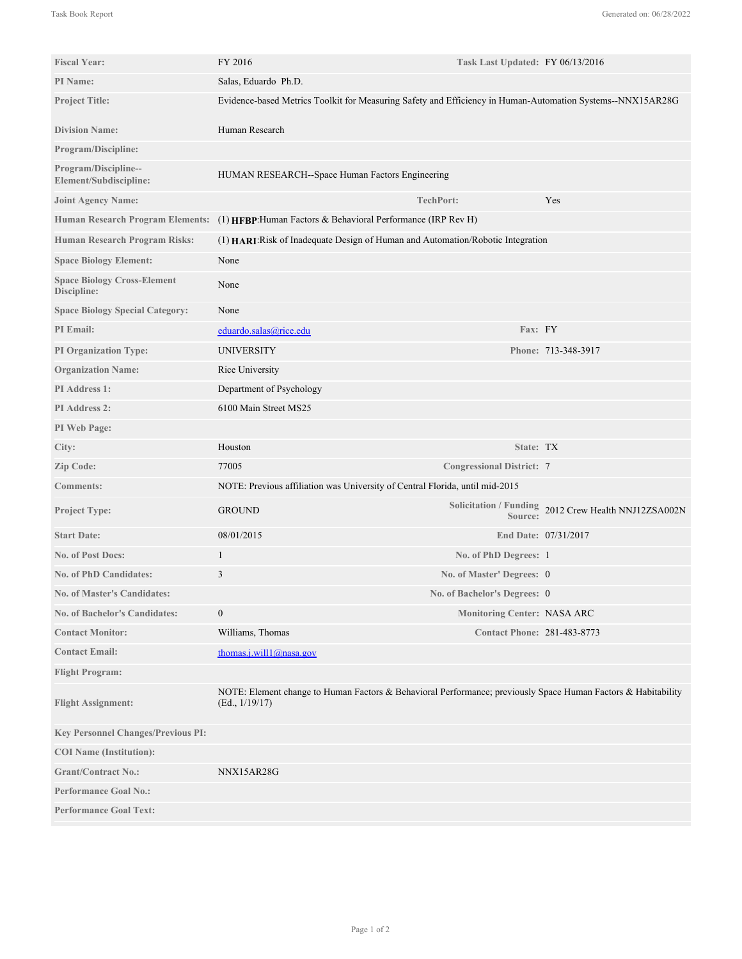| <b>Fiscal Year:</b>                               | FY 2016                                                                                                                         | Task Last Updated: FY 06/13/2016   |                                                      |
|---------------------------------------------------|---------------------------------------------------------------------------------------------------------------------------------|------------------------------------|------------------------------------------------------|
| PI Name:                                          | Salas, Eduardo Ph.D.                                                                                                            |                                    |                                                      |
| <b>Project Title:</b>                             | Evidence-based Metrics Toolkit for Measuring Safety and Efficiency in Human-Automation Systems--NNX15AR28G                      |                                    |                                                      |
| <b>Division Name:</b>                             | Human Research                                                                                                                  |                                    |                                                      |
| Program/Discipline:                               |                                                                                                                                 |                                    |                                                      |
| Program/Discipline--<br>Element/Subdiscipline:    | HUMAN RESEARCH--Space Human Factors Engineering                                                                                 |                                    |                                                      |
| <b>Joint Agency Name:</b>                         |                                                                                                                                 | <b>TechPort:</b>                   | Yes                                                  |
| <b>Human Research Program Elements:</b>           | (1) HFBP: Human Factors & Behavioral Performance (IRP Rev H)                                                                    |                                    |                                                      |
| Human Research Program Risks:                     | (1) HARI: Risk of Inadequate Design of Human and Automation/Robotic Integration                                                 |                                    |                                                      |
| <b>Space Biology Element:</b>                     | None                                                                                                                            |                                    |                                                      |
| <b>Space Biology Cross-Element</b><br>Discipline: | None                                                                                                                            |                                    |                                                      |
| <b>Space Biology Special Category:</b>            | None                                                                                                                            |                                    |                                                      |
| <b>PI</b> Email:                                  | eduardo.salas@rice.edu                                                                                                          | Fax: FY                            |                                                      |
| <b>PI Organization Type:</b>                      | <b>UNIVERSITY</b>                                                                                                               |                                    | Phone: 713-348-3917                                  |
| <b>Organization Name:</b>                         | Rice University                                                                                                                 |                                    |                                                      |
| PI Address 1:                                     | Department of Psychology                                                                                                        |                                    |                                                      |
| PI Address 2:                                     | 6100 Main Street MS25                                                                                                           |                                    |                                                      |
| PI Web Page:                                      |                                                                                                                                 |                                    |                                                      |
| City:                                             | Houston                                                                                                                         | State: TX                          |                                                      |
| Zip Code:                                         | 77005                                                                                                                           | <b>Congressional District: 7</b>   |                                                      |
| <b>Comments:</b>                                  | NOTE: Previous affiliation was University of Central Florida, until mid-2015                                                    |                                    |                                                      |
| Project Type:                                     | <b>GROUND</b>                                                                                                                   | Source:                            | Solicitation / Funding 2012 Crew Health NNJ12ZSA002N |
| <b>Start Date:</b>                                | 08/01/2015                                                                                                                      |                                    | End Date: 07/31/2017                                 |
| <b>No. of Post Docs:</b>                          | 1                                                                                                                               | No. of PhD Degrees: 1              |                                                      |
| <b>No. of PhD Candidates:</b>                     | 3                                                                                                                               | No. of Master' Degrees: 0          |                                                      |
| No. of Master's Candidates:                       |                                                                                                                                 | No. of Bachelor's Degrees: 0       |                                                      |
| <b>No. of Bachelor's Candidates:</b>              | $\boldsymbol{0}$                                                                                                                | <b>Monitoring Center: NASA ARC</b> |                                                      |
| <b>Contact Monitor:</b>                           | Williams, Thomas                                                                                                                | <b>Contact Phone: 281-483-8773</b> |                                                      |
| <b>Contact Email:</b>                             | thomas.j.will1@nasa.gov                                                                                                         |                                    |                                                      |
| <b>Flight Program:</b>                            |                                                                                                                                 |                                    |                                                      |
| <b>Flight Assignment:</b>                         | NOTE: Element change to Human Factors & Behavioral Performance; previously Space Human Factors & Habitability<br>(Ed., 1/19/17) |                                    |                                                      |
| <b>Key Personnel Changes/Previous PI:</b>         |                                                                                                                                 |                                    |                                                      |
| <b>COI</b> Name (Institution):                    |                                                                                                                                 |                                    |                                                      |
| <b>Grant/Contract No.:</b>                        | NNX15AR28G                                                                                                                      |                                    |                                                      |
| <b>Performance Goal No.:</b>                      |                                                                                                                                 |                                    |                                                      |
| <b>Performance Goal Text:</b>                     |                                                                                                                                 |                                    |                                                      |
|                                                   |                                                                                                                                 |                                    |                                                      |